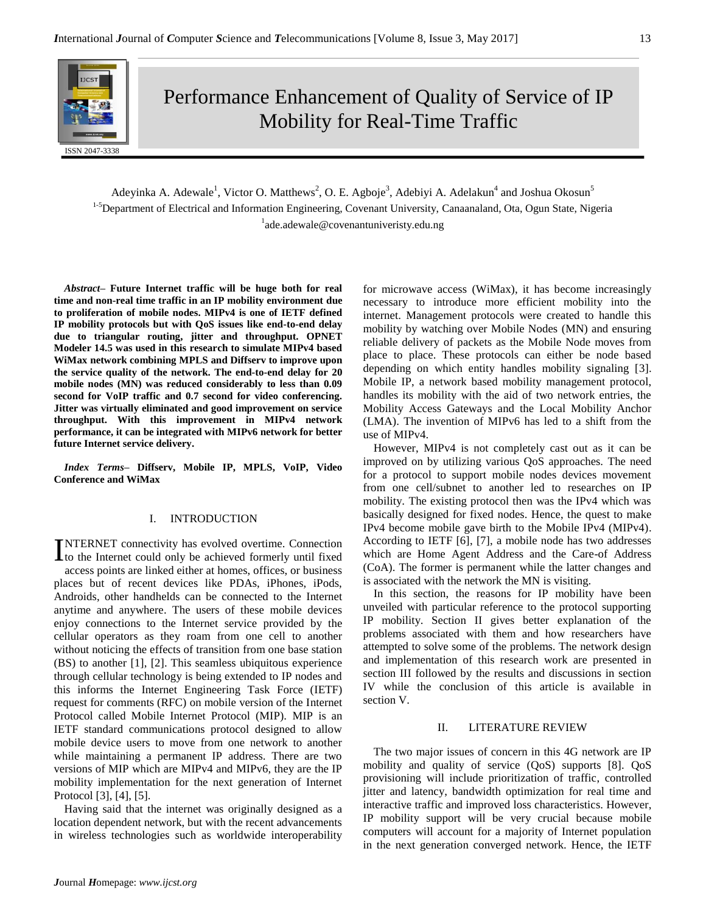

Performance Enhancement of Quality of Service of IP Mobility for Real-Time Traffic

Adeyinka A. Adewale<sup>1</sup>, Victor O. Matthews<sup>2</sup>, O. E. Agboje<sup>3</sup>, Adebiyi A. Adelakun<sup>4</sup> and Joshua Okosun<sup>5</sup> <sup>1-5</sup>Department of Electrical and Information Engineering, Covenant University, Canaanaland, Ota, Ogun State, Nigeria <sup>1</sup>ade.adewale@covenantuniveristy.edu.ng

*Abstract–* **Future Internet traffic will be huge both for real time and non-real time traffic in an IP mobility environment due to proliferation of mobile nodes. MIPv4 is one of IETF defined IP mobility protocols but with QoS issues like end-to-end delay due to triangular routing, jitter and throughput. OPNET Modeler 14.5 was used in this research to simulate MIPv4 based WiMax network combining MPLS and Diffserv to improve upon the service quality of the network. The end-to-end delay for 20 mobile nodes (MN) was reduced considerably to less than 0.09 second for VoIP traffic and 0.7 second for video conferencing. Jitter was virtually eliminated and good improvement on service throughput. With this improvement in MIPv4 network performance, it can be integrated with MIPv6 network for better future Internet service delivery.**

*Index Terms–* **Diffserv, Mobile IP, MPLS, VoIP, Video Conference and WiMax**

### I. INTRODUCTION

NTERNET connectivity has evolved overtime. Connection INTERNET connectivity has evolved overtime. Connection<br>to the Internet could only be achieved formerly until fixed access points are linked either at homes, offices, or business places but of recent devices like PDAs, iPhones, iPods, Androids, other handhelds can be connected to the Internet anytime and anywhere. The users of these mobile devices enjoy connections to the Internet service provided by the cellular operators as they roam from one cell to another without noticing the effects of transition from one base station (BS) to another [1], [2]. This seamless ubiquitous experience through cellular technology is being extended to IP nodes and this informs the Internet Engineering Task Force (IETF) request for comments (RFC) on mobile version of the Internet Protocol called Mobile Internet Protocol (MIP). MIP is an IETF standard communications protocol designed to allow mobile device users to move from one network to another while maintaining a permanent IP address. There are two versions of MIP which are MIPv4 and MIPv6, they are the IP mobility implementation for the next generation of Internet Protocol [3], [4], [5].

Having said that the internet was originally designed as a location dependent network, but with the recent advancements in wireless technologies such as worldwide interoperability for microwave access (WiMax), it has become increasingly necessary to introduce more efficient mobility into the internet. Management protocols were created to handle this mobility by watching over Mobile Nodes (MN) and ensuring reliable delivery of packets as the Mobile Node moves from place to place. These protocols can either be node based depending on which entity handles mobility signaling [3]. Mobile IP, a network based mobility management protocol, handles its mobility with the aid of two network entries, the Mobility Access Gateways and the Local Mobility Anchor (LMA). The invention of MIPv6 has led to a shift from the use of MIPv4.

However, MIPv4 is not completely cast out as it can be improved on by utilizing various QoS approaches. The need for a protocol to support mobile nodes devices movement from one cell/subnet to another led to researches on IP mobility. The existing protocol then was the IPv4 which was basically designed for fixed nodes. Hence, the quest to make IPv4 become mobile gave birth to the Mobile IPv4 (MIPv4). According to IETF [6], [7], a mobile node has two addresses which are Home Agent Address and the Care-of Address (CoA). The former is permanent while the latter changes and is associated with the network the MN is visiting.

In this section, the reasons for IP mobility have been unveiled with particular reference to the protocol supporting IP mobility. Section II gives better explanation of the problems associated with them and how researchers have attempted to solve some of the problems. The network design and implementation of this research work are presented in section III followed by the results and discussions in section IV while the conclusion of this article is available in section V.

#### II. LITERATURE REVIEW

The two major issues of concern in this 4G network are IP mobility and quality of service (QoS) supports [8]. QoS provisioning will include prioritization of traffic, controlled jitter and latency, bandwidth optimization for real time and interactive traffic and improved loss characteristics. However, IP mobility support will be very crucial because mobile computers will account for a majority of Internet population in the next generation converged network. Hence, the IETF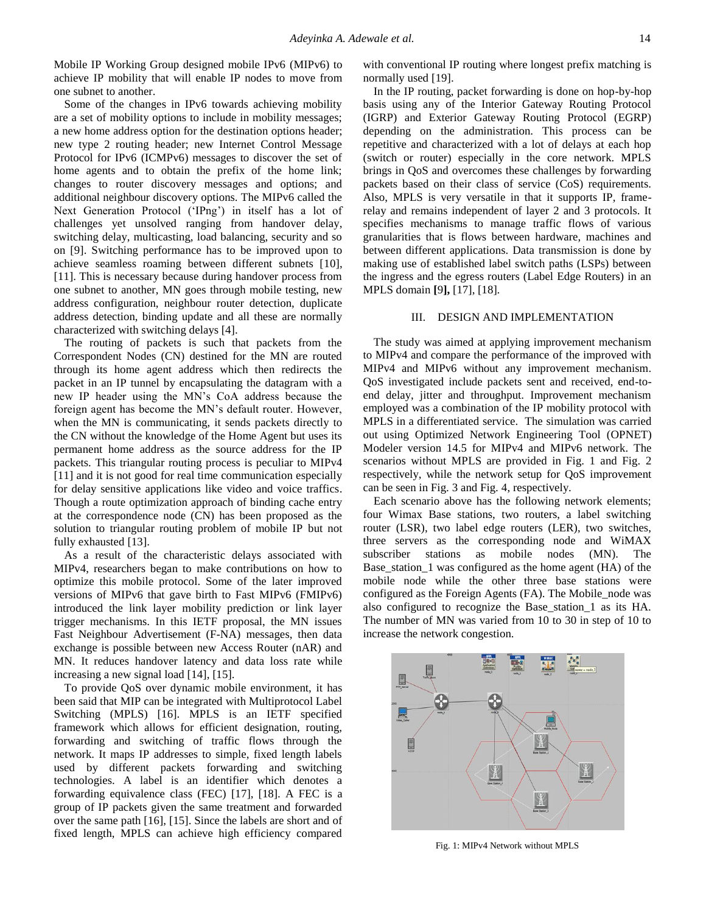Mobile IP Working Group designed mobile IPv6 (MIPv6) to achieve IP mobility that will enable IP nodes to move from one subnet to another.

Some of the changes in IPv6 towards achieving mobility are a set of mobility options to include in mobility messages; a new home address option for the destination options header; new type 2 routing header; new Internet Control Message Protocol for IPv6 (ICMPv6) messages to discover the set of home agents and to obtain the prefix of the home link; changes to router discovery messages and options; and additional neighbour discovery options. The MIPv6 called the Next Generation Protocol ('IPng') in itself has a lot of challenges yet unsolved ranging from handover delay, switching delay, multicasting, load balancing, security and so on [9]. Switching performance has to be improved upon to achieve seamless roaming between different subnets [10], [11]. This is necessary because during handover process from one subnet to another, MN goes through mobile testing, new address configuration, neighbour router detection, duplicate address detection, binding update and all these are normally characterized with switching delays [4].

The routing of packets is such that packets from the Correspondent Nodes (CN) destined for the MN are routed through its home agent address which then redirects the packet in an IP tunnel by encapsulating the datagram with a new IP header using the MN's CoA address because the foreign agent has become the MN's default router. However, when the MN is communicating, it sends packets directly to the CN without the knowledge of the Home Agent but uses its permanent home address as the source address for the IP packets. This triangular routing process is peculiar to MIPv4 [11] and it is not good for real time communication especially for delay sensitive applications like video and voice traffics. Though a route optimization approach of binding cache entry at the correspondence node (CN) has been proposed as the solution to triangular routing problem of mobile IP but not fully exhausted [13].

As a result of the characteristic delays associated with MIPv4, researchers began to make contributions on how to optimize this mobile protocol. Some of the later improved versions of MIPv6 that gave birth to Fast MIPv6 (FMIPv6) introduced the link layer mobility prediction or link layer trigger mechanisms. In this IETF proposal, the MN issues Fast Neighbour Advertisement (F-NA) messages, then data exchange is possible between new Access Router (nAR) and MN. It reduces handover latency and data loss rate while increasing a new signal load [14], [15].

To provide QoS over dynamic mobile environment, it has been said that MIP can be integrated with Multiprotocol Label Switching (MPLS) [16]. MPLS is an IETF specified framework which allows for efficient designation, routing, forwarding and switching of traffic flows through the network. It maps IP addresses to simple, fixed length labels used by different packets forwarding and switching technologies. A label is an identifier which denotes a forwarding equivalence class (FEC) [17], [18]. A FEC is a group of IP packets given the same treatment and forwarded over the same path [16], [15]. Since the labels are short and of fixed length, MPLS can achieve high efficiency compared

with conventional IP routing where longest prefix matching is normally used [19].

In the IP routing, packet forwarding is done on hop-by-hop basis using any of the Interior Gateway Routing Protocol (IGRP) and Exterior Gateway Routing Protocol (EGRP) depending on the administration. This process can be repetitive and characterized with a lot of delays at each hop (switch or router) especially in the core network. MPLS brings in QoS and overcomes these challenges by forwarding packets based on their class of service (CoS) requirements. Also, MPLS is very versatile in that it supports IP, framerelay and remains independent of layer 2 and 3 protocols. It specifies mechanisms to manage traffic flows of various granularities that is flows between hardware, machines and between different applications. Data transmission is done by making use of established label switch paths (LSPs) between the ingress and the egress routers (Label Edge Routers) in an MPLS domain **[**9**],** [17], [18].

# III. DESIGN AND IMPLEMENTATION

The study was aimed at applying improvement mechanism to MIPv4 and compare the performance of the improved with MIPv4 and MIPv6 without any improvement mechanism. QoS investigated include packets sent and received, end-toend delay, jitter and throughput. Improvement mechanism employed was a combination of the IP mobility protocol with MPLS in a differentiated service. The simulation was carried out using Optimized Network Engineering Tool (OPNET) Modeler version 14.5 for MIPv4 and MIPv6 network. The scenarios without MPLS are provided in Fig. 1 and Fig. 2 respectively, while the network setup for QoS improvement can be seen in Fig. 3 and Fig. 4, respectively.

Each scenario above has the following network elements; four Wimax Base stations, two routers, a label switching router (LSR), two label edge routers (LER), two switches, three servers as the corresponding node and WiMAX subscriber stations as mobile nodes (MN). The Base\_station\_1 was configured as the home agent (HA) of the mobile node while the other three base stations were configured as the Foreign Agents (FA). The Mobile\_node was also configured to recognize the Base\_station\_1 as its HA. The number of MN was varied from 10 to 30 in step of 10 to increase the network congestion.



Fig. 1: MIPv4 Network without MPLS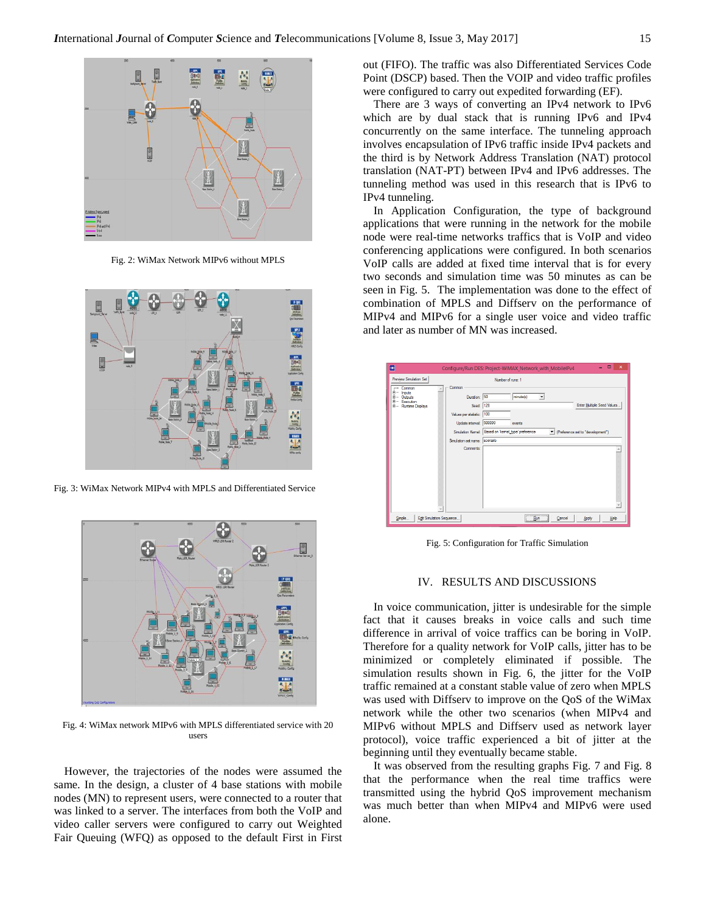

Fig. 2: WiMax Network MIPv6 without MPLS



Fig. 3: WiMax Network MIPv4 with MPLS and Differentiated Service



Fig. 4: WiMax network MIPv6 with MPLS differentiated service with 20 users

However, the trajectories of the nodes were assumed the same. In the design, a cluster of 4 base stations with mobile nodes (MN) to represent users, were connected to a router that was linked to a server. The interfaces from both the VoIP and video caller servers were configured to carry out Weighted Fair Queuing (WFQ) as opposed to the default First in First out (FIFO). The traffic was also Differentiated Services Code Point (DSCP) based. Then the VOIP and video traffic profiles were configured to carry out expedited forwarding (EF).

There are 3 ways of converting an IPv4 network to IPv6 which are by dual stack that is running IPv6 and IPv4 concurrently on the same interface. The tunneling approach involves encapsulation of IPv6 traffic inside IPv4 packets and the third is by Network Address Translation (NAT) protocol translation (NAT-PT) between IPv4 and IPv6 addresses. The tunneling method was used in this research that is IPv6 to IPv4 tunneling.

In Application Configuration, the type of background applications that were running in the network for the mobile node were real-time networks traffics that is VoIP and video conferencing applications were configured. In both scenarios VoIP calls are added at fixed time interval that is for every two seconds and simulation time was 50 minutes as can be seen in Fig. 5. The implementation was done to the effect of combination of MPLS and Diffserv on the performance of MIPv4 and MIPv6 for a single user voice and video traffic and later as number of MN was increased.

| Preview Simulation Set                                                                       | Number of runs: 1                                                                                                                                                 |                            |
|----------------------------------------------------------------------------------------------|-------------------------------------------------------------------------------------------------------------------------------------------------------------------|----------------------------|
| Common<br><b>Inputs</b><br><b>Outputs</b><br><b>Execution</b><br>图…<br>E -- Runtime Displays | Common<br>Duration: 50<br>minute(s)<br>$\blacktriangledown$<br>128<br>Seed:                                                                                       | Enter Multiple Seed Values |
|                                                                                              | 100<br>Values per statistic:<br>Update interval: 500000<br>events<br>Based on 'kemel type' preference<br>Simulation Kemel:<br>F (Preference set to "development") |                            |
|                                                                                              | Simulation set name: scenario<br>Comments:                                                                                                                        |                            |
|                                                                                              |                                                                                                                                                                   |                            |

Fig. 5: Configuration for Traffic Simulation

## IV. RESULTS AND DISCUSSIONS

In voice communication, jitter is undesirable for the simple fact that it causes breaks in voice calls and such time difference in arrival of voice traffics can be boring in VoIP. Therefore for a quality network for VoIP calls, jitter has to be minimized or completely eliminated if possible. The simulation results shown in Fig. 6, the jitter for the VoIP traffic remained at a constant stable value of zero when MPLS was used with Diffserv to improve on the QoS of the WiMax network while the other two scenarios (when MIPv4 and MIPv6 without MPLS and Diffserv used as network layer protocol), voice traffic experienced a bit of jitter at the beginning until they eventually became stable.

It was observed from the resulting graphs Fig. 7 and Fig. 8 that the performance when the real time traffics were transmitted using the hybrid QoS improvement mechanism was much better than when MIPv4 and MIPv6 were used alone.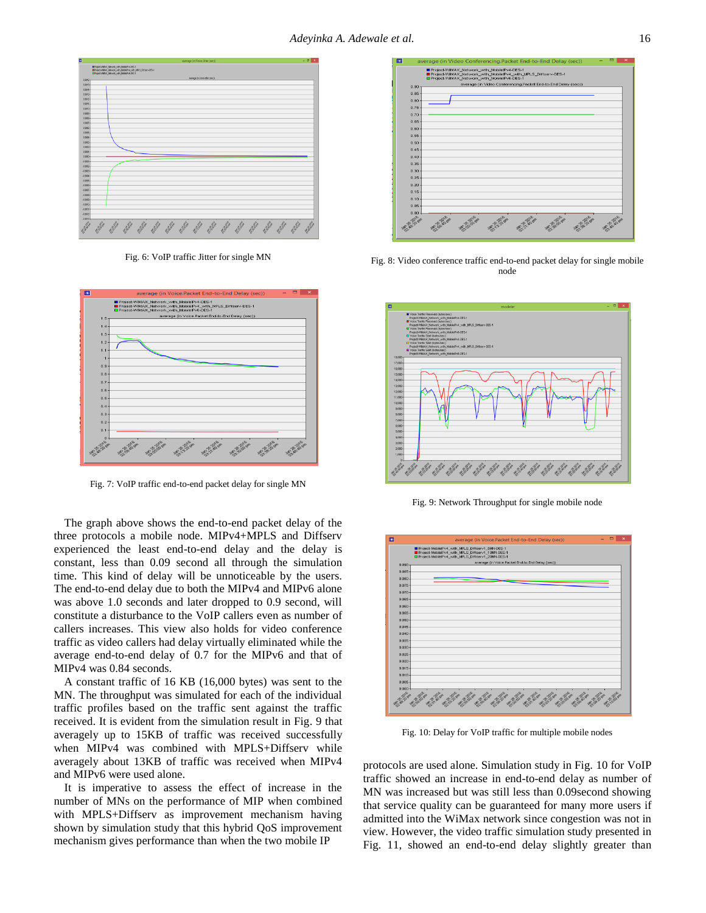

Fig. 6: VoIP traffic Jitter for single MN



Fig. 7: VoIP traffic end-to-end packet delay for single MN

The graph above shows the end-to-end packet delay of the three protocols a mobile node. MIPv4+MPLS and Diffserv experienced the least end-to-end delay and the delay is constant, less than 0.09 second all through the simulation time. This kind of delay will be unnoticeable by the users. The end-to-end delay due to both the MIPv4 and MIPv6 alone was above 1.0 seconds and later dropped to 0.9 second, will constitute a disturbance to the VoIP callers even as number of callers increases. This view also holds for video conference traffic as video callers had delay virtually eliminated while the average end-to-end delay of 0.7 for the MIPv6 and that of MIPv4 was 0.84 seconds.

A constant traffic of 16 KB (16,000 bytes) was sent to the MN. The throughput was simulated for each of the individual traffic profiles based on the traffic sent against the traffic received. It is evident from the simulation result in Fig. 9 that averagely up to 15KB of traffic was received successfully when MIPv4 was combined with MPLS+Diffserv while averagely about 13KB of traffic was received when MIPv4 and MIPv6 were used alone.

It is imperative to assess the effect of increase in the number of MNs on the performance of MIP when combined with MPLS+Diffserv as improvement mechanism having shown by simulation study that this hybrid QoS improvement mechanism gives performance than when the two mobile IP



Fig. 8: Video conference traffic end-to-end packet delay for single mobile node



Fig. 9: Network Throughput for single mobile node



Fig. 10: Delay for VoIP traffic for multiple mobile nodes

protocols are used alone. Simulation study in Fig. 10 for VoIP traffic showed an increase in end-to-end delay as number of MN was increased but was still less than 0.09second showing that service quality can be guaranteed for many more users if admitted into the WiMax network since congestion was not in view. However, the video traffic simulation study presented in Fig. 11, showed an end-to-end delay slightly greater than